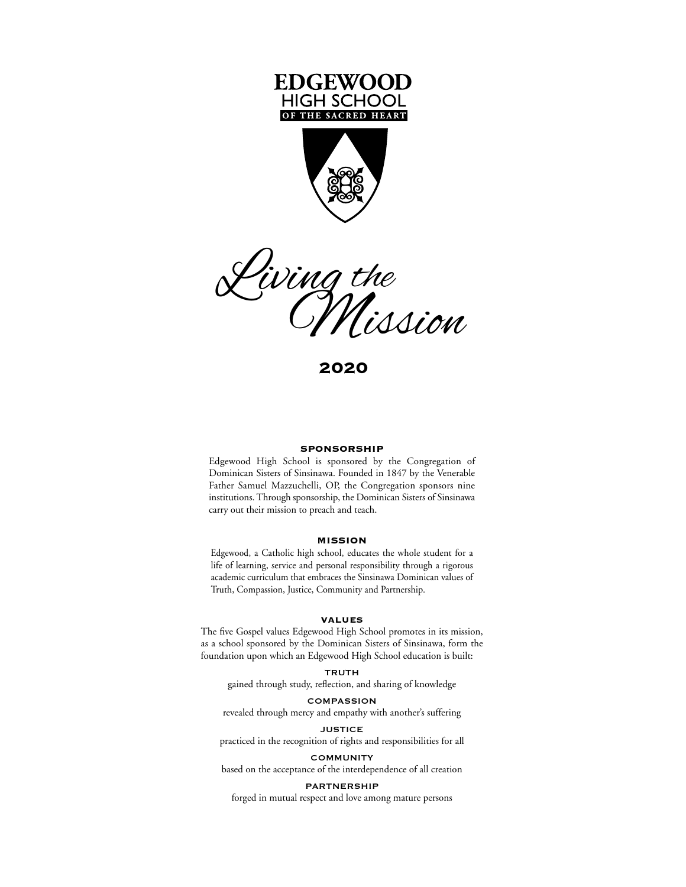





**2020**

#### **SPONSORSHIP**

Edgewood High School is sponsored by the Congregation of Dominican Sisters of Sinsinawa. Founded in 1847 by the Venerable Father Samuel Mazzuchelli, OP, the Congregation sponsors nine institutions. Through sponsorship, the Dominican Sisters of Sinsinawa carry out their mission to preach and teach.

## **MISSION**

Edgewood, a Catholic high school, educates the whole student for a life of learning, service and personal responsibility through a rigorous academic curriculum that embraces the Sinsinawa Dominican values of Truth, Compassion, Justice, Community and Partnership.

## **VALUES**

The five Gospel values Edgewood High School promotes in its mission, as a school sponsored by the Dominican Sisters of Sinsinawa, form the foundation upon which an Edgewood High School education is built:

#### TRUTH

gained through study, reflection, and sharing of knowledge

# COMPASSION

revealed through mercy and empathy with another's suffering

#### **JUSTICE**

practiced in the recognition of rights and responsibilities for all

## **COMMUNITY**

based on the acceptance of the interdependence of all creation

### PARTNERSHIP

forged in mutual respect and love among mature persons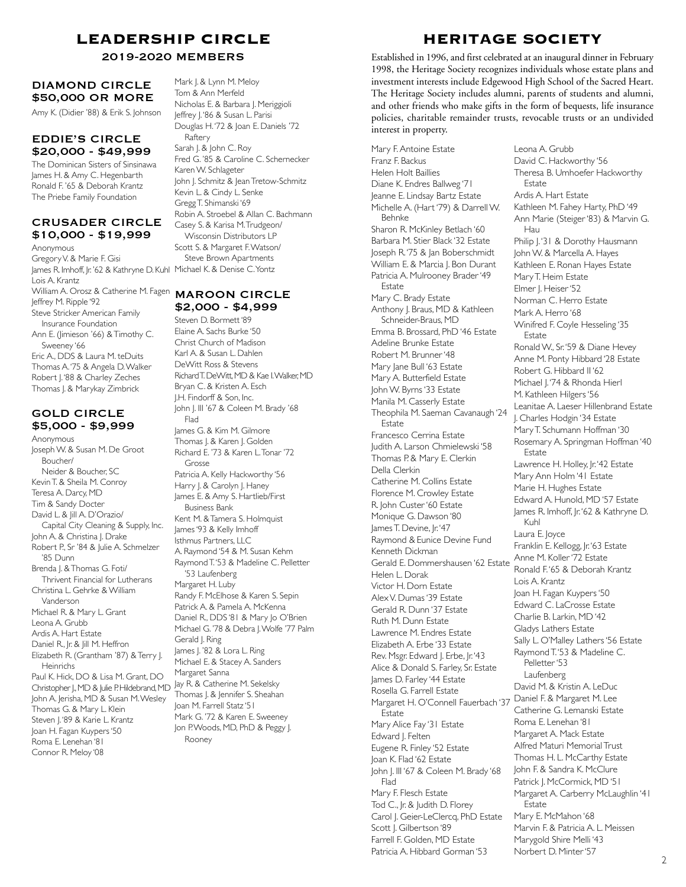# **LEADERSHIP CIRCLE**

# DIAMOND CIRCLE \$50,000 OR MORE

Amy K. (Didier '88) & Erik S. Johnson

# EDDIE'S CIRCLE \$20,000 - \$49,999

The Dominican Sisters of Sinsinawa James H. & Amy C. Hegenbarth Ronald F. '65 & Deborah Krantz The Priebe Family Foundation

# CRUSADER CIRCLE \$10,000 - \$19,999

Anonymous Gregory V. & Marie F. Gisi James R. Imhoff, Jr. '62 & Kathryne D. Kuhl Michael K. & Denise C. Yontz Lois A. Krantz William A. Orosz & Catherine M. Fagen MAROON CIRCLE Jeffrey M. Ripple '92 Steve Stricker American Family Insurance Foundation Ann E. (Jimieson '66) & Timothy C. Sweeney '66 Eric A., DDS & Laura M. teDuits Thomas A. '75 & Angela D. Walker Robert J.'88 & Charley Zeches Thomas J. & Marykay Zimbrick

# GOLD CIRCLE \$5,000 - \$9,999

**Anonymous** Joseph W. & Susan M. De Groot Boucher/ Neider & Boucher, SC Kevin T. & Sheila M. Conroy Teresa A. Darcy, MD Tim & Sandy Docter David L. & Jill A. D'Orazio/ Capital City Cleaning & Supply, Inc. John A. & Christina J. Drake Robert P., Sr '84 & Julie A. Schmelzer '85 Dunn Brenda J. & Thomas G. Foti/ Thrivent Financial for Lutherans Christina L. Gehrke & William Vanderson Michael R. & Mary L. Grant Leona A. Grubb Ardis A. Hart Estate Daniel R., Jr. & Jill M. Heffron Elizabeth R. (Grantham '87) & Terry J. Heinrichs<br>Paul K. Hick, DO & Lisa M. Grant, DO Paul K. Hick, DO & Lisa M. Grant, DO Christopher J., MD & Julie P. Hildebrand, MD Jay R. & Catherine M. Sekelsky John A. Jerisha, MD & Susan M. Wesley Thomas G. & Mary L. Klein Steven J. '89 & Karie L. Krantz Joan H. Fagan Kuypers '50 Roma E. Lenehan '81 Connor R. Meloy '08

Mark J. & Lynn M. Meloy Tom & Ann Merfeld Nicholas E. & Barbara J. Meriggioli Jeffrey J. '86 & Susan L. Parisi Douglas H. '72 & Joan E. Daniels '72 Raftery Sarah J. & John C. Roy Fred G. '85 & Caroline C. Schernecker Karen W. Schlageter John J. Schmitz & Jean Tretow-Schmitz Kevin L. & Cindy L. Senke Gregg T. Shimanski '69 Robin A. Stroebel & Allan C. Bachmann Casey S. & Karisa M. Trudgeon/ Wisconsin Distributors LP Scott S. & Margaret F. Watson/ Steve Brown Apartments

# \$2,000 - \$4,999

Steven D. Bormett '89 Elaine A. Sachs Burke '50 Christ Church of Madison Karl A. & Susan L. Dahlen DeWitt Ross & Stevens Richard T. DeWitt, MD & Kae I. Walker, MD Bryan C. & Kristen A. Esch J.H. Findorff & Son, Inc. John J. III '67 & Coleen M. Brady '68 Flad James G. & Kim M. Gilmore Thomas I. & Karen I. Golden Richard E. '73 & Karen L. Tonar '72 Grosse Patricia A. Kelly Hackworthy '56 Harry J. & Carolyn J. Haney James E. & Amy S. Hartlieb/First Business Bank Kent M. & Tamera S. Holmquist James '93 & Kelly Imhoff Isthmus Partners, LLC A. Raymond '54 & M. Susan Kehm Raymond T. '53 & Madeline C. Pelletter '53 Laufenberg Margaret H. Luby Randy F. McElhose & Karen S. Sepin Patrick A. & Pamela A. McKenna Daniel R., DDS '81 & Mary Jo O'Brien Michael G. '78 & Debra J. Wolfe '77 Palm Gerald J. Ring James J. '82 & Lora L. Ring Michael E. & Stacey A. Sanders Margaret Sanna Thomas J. & Jennifer S. Sheahan Joan M. Farrell Statz '51 Mark G. '72 & Karen E. Sweeney Jon P. Woods, MD, PhD & Peggy J. Rooney

# **HERITAGE SOCIETY**

2019-2020 MEMBERS Established in 1996, and first celebrated at an inaugural dinner in February 1998, the Heritage Society recognizes individuals whose estate plans and investment interests include Edgewood High School of the Sacred Heart. The Heritage Society includes alumni, parents of students and alumni, and other friends who make gifts in the form of bequests, life insurance policies, charitable remainder trusts, revocable trusts or an undivided interest in property.

> Mary F. Antoine Estate Franz F. Backus Helen Holt Baillies Diane K. Endres Ballweg '71 Jeanne E. Lindsay Bartz Estate Michelle A. (Hart '79) & Darrell W. Behnke Sharon R. McKinley Betlach '60 Barbara M. Stier Black '32 Estate Joseph R. '75 & Jan Boberschmidt William E. & Marcia J. Bon Durant Patricia A. Mulrooney Brader '49 Estate Mary C. Brady Estate Anthony J. Braus, MD & Kathleen Schneider-Braus, MD Emma B. Brossard, PhD '46 Estate Adeline Brunke Estate Robert M. Brunner '48 Mary Jane Bull '63 Estate Mary A. Butterfield Estate John W. Byrns '33 Estate Manila M. Casserly Estate Theophila M. Saeman Cavanaugh '24 **Estate** Francesco Cerrina Estate Judith A. Larson Chmielewski '58 Thomas P. & Mary E. Clerkin Della Clerkin Catherine M. Collins Estate Florence M. Crowley Estate R. John Custer '60 Estate Monique G. Dawson '80 James T. Devine, Jr. '47 Raymond & Eunice Devine Fund Kenneth Dickman Gerald E. Dommershausen '62 Estate Helen L. Dorak Victor H. Dorn Estate Alex V. Dumas '39 Estate Gerald R. Dunn '37 Estate Ruth M. Dunn Estate Lawrence M. Endres Estate Elizabeth A. Erbe '33 Estate Rev. Msgr. Edward J. Erbe, Jr. '43 Alice & Donald S. Farley, Sr. Estate James D. Farley '44 Estate Rosella G. Farrell Estate Margaret H. O'Connell Fauerbach '37 Daniel F. & Margaret M. Lee Estate Mary Alice Fay '31 Estate Edward J. Felten Eugene R. Finley '52 Estate Joan K. Flad '62 Estate John J. III '67 & Coleen M. Brady '68 Flad Mary F. Flesch Estate Tod C., Jr. & Judith D. Florey Carol I. Geier-LeClercg, PhD Estate Scott J. Gilbertson '89 Farrell F. Golden, MD Estate Patricia A. Hibbard Gorman '53

Leona A. Grubb David C. Hackworthy '56 Theresa B. Umhoefer Hackworthy Estate Ardis A. Hart Estate Kathleen M. Fahey Harty, PhD '49 Ann Marie (Steiger '83) & Marvin G. Hau Philip J.'31 & Dorothy Hausmann John W. & Marcella A. Hayes Kathleen E. Ronan Hayes Estate Mary T. Heim Estate Elmer J. Heiser '52 Norman C. Herro Estate Mark A. Herro '68 Winifred F. Coyle Hesseling '35 **Estate** Ronald W., Sr. '59 & Diane Hevey Anne M. Ponty Hibbard '28 Estate Robert G. Hibbard II '62 Michael J. '74 & Rhonda Hierl M. Kathleen Hilgers '56 Leanitae A. Laeser Hillenbrand Estate J. Charles Hodgin '34 Estate Mary T. Schumann Hoffman '30 Rosemary A. Springman Hoffman '40 Estate Lawrence H. Holley, Jr. '42 Estate Mary Ann Holm '41 Estate Marie H. Hughes Estate Edward A. Hunold, MD '57 Estate James R. Imhoff, Jr. '62 & Kathryne D. Kuhl Laura E. Joyce Franklin E. Kellogg, Jr. '63 Estate Anne M. Koller '72 Estate Ronald F. '65 & Deborah Krantz Lois A. Krantz Joan H. Fagan Kuypers '50 Edward C. LaCrosse Estate Charlie B. Larkin, MD '42 Gladys Lathers Estate Sally L. O'Malley Lathers '56 Estate Raymond T. '53 & Madeline C. Pelletter '53 Laufenberg David M. & Kristin A. LeDuc Catherine G. Lemanski Estate Roma E. Lenehan '81 Margaret A. Mack Estate Alfred Maturi Memorial Trust Thomas H. L. McCarthy Estate John F. & Sandra K. McClure Patrick J. McCormick, MD '51 Margaret A. Carberry McLaughlin '41 Estate Mary E. McMahon '68 Marvin F. & Patricia A. L. Meissen Marygold Shire Melli '43 Norbert D. Minter '57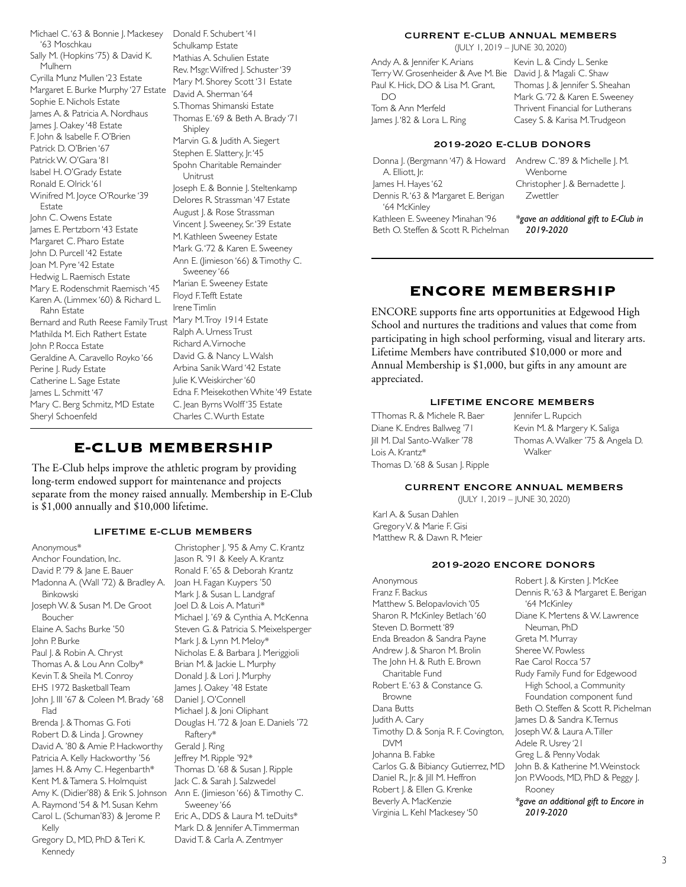Michael C. '63 & Bonnie J. Mackesey '63 Moschkau Sally M. (Hopkins '75) & David K. Mulhern Cyrilla Munz Mullen '23 Estate Margaret E. Burke Murphy '27 Estate Sophie E. Nichols Estate James A. & Patricia A. Nordhaus James J. Oakey '48 Estate F. John & Isabelle F. O'Brien Patrick D. O'Brien '67 Patrick W. O'Gara '81 Isabel H. O'Grady Estate Ronald E. Olrick '61 Winifred M. Joyce O'Rourke '39 Estate John C. Owens Estate James E. Pertzborn '43 Estate Margaret C. Pharo Estate John D. Purcell '42 Estate Joan M. Pyre '42 Estate Hedwig L. Raemisch Estate Mary E. Rodenschmit Raemisch '45 Karen A. (Limmex '60) & Richard L. Rahn Estate Bernard and Ruth Reese Family Trust Mathilda M. Eich Rathert Estate John P. Rocca Estate Geraldine A. Caravello Royko '66 Perine J. Rudy Estate Catherine L. Sage Estate James L. Schmitt '47 Mary C. Berg Schmitz, MD Estate Sheryl Schoenfeld

Donald F. Schubert '41 Schulkamp Estate Mathias A. Schulien Estate Rev. Msgr. Wilfred J. Schuster '39 Mary M. Shorey Scott '31 Estate David A. Sherman '64 S. Thomas Shimanski Estate Thomas E. '69 & Beth A. Brady '71 Shipley Marvin G. & Judith A. Siegert Stephen E. Slattery, Jr. 45 Spohn Charitable Remainder Unitrust Joseph E. & Bonnie J. Steltenkamp Delores R. Strassman '47 Estate August J. & Rose Strassman Vincent J. Sweeney, Sr. '39 Estate M. Kathleen Sweeney Estate Mark G. '72 & Karen E. Sweeney Ann E. (Jimieson '66) & Timothy C. Sweeney '66 Marian E. Sweeney Estate Floyd F. Tefft Estate Irene Timlin Mary M. Troy 1914 Estate Ralph A. Urness Trust Richard A. Virnoche David G. & Nancy L. Walsh Arbina Sanik Ward '42 Estate Julie K. Weiskircher '60 Edna F. Meisekothen White '49 Estate C. Jean Byrns Wolff '35 Estate Charles C. Wurth Estate

# **E-CLUB MEMBERSHIP**

The E-Club helps improve the athletic program by providing long-term endowed support for maintenance and projects separate from the money raised annually. Membership in E-Club is \$1,000 annually and \$10,000 lifetime.

# LIFETIME E-CLUB MEMBERS

Anonymous\* Anchor Foundation, Inc. David P. '79 & Jane E. Bauer Madonna A. (Wall '72) & Bradley A. Binkowski Joseph W. & Susan M. De Groot Boucher Elaine A. Sachs Burke '50 John P. Burke Paul J. & Robin A. Chryst Thomas A. & Lou Ann Colby\* Kevin T. & Sheila M. Conroy EHS 1972 Basketball Team John J. III '67 & Coleen M. Brady '68 Flad Brenda J. & Thomas G. Foti Robert D. & Linda J. Growney David A. '80 & Amie P. Hackworthy Patricia A. Kelly Hackworthy '56 James H. & Amy C. Hegenbarth\* Kent M. & Tamera S. Holmquist Amy K. (Didier'88) & Erik S. Johnson A. Raymond '54 & M. Susan Kehm Carol L. (Schuman'83) & Jerome P. Kelly Gregory D., MD, PhD & Teri K. Kennedy

Christopher J. '95 & Amy C. Krantz Jason R. '91 & Keely A. Krantz Ronald F. '65 & Deborah Krantz Joan H. Fagan Kuypers '50 Mark J. & Susan L. Landgraf Joel D. & Lois A. Maturi\* Michael J. '69 & Cynthia A. McKenna Steven G. & Patricia S. Meixelsperger Mark J. & Lynn M. Meloy\* Nicholas E. & Barbara J. Meriggioli Brian M. & Jackie L. Murphy Donald J. & Lori J. Murphy James J. Oakey '48 Estate Daniel J. O'Connell Michael J. & Joni Oliphant Douglas H. '72 & Joan E. Daniels '72 Raftery\* Gerald J. Ring Jeffrey M. Ripple '92\* Thomas D. '68 & Susan J. Ripple Jack C. & Sarah J. Salzwedel Ann E. (Jimieson '66) & Timothy C. Sweeney '66 Eric A., DDS & Laura M. teDuits\* Mark D. & Jennifer A. Timmerman David T. & Carla A. Zentmyer

# CURRENT E-CLUB ANNUAL MEMBERS

(JULY 1, 2019 – JUNE 30, 2020 )

Andy A. & Jennifer K. Arians Terry W. Grosenheider & Ave M. Bie David J. & Magali C. Shaw Paul K. Hick, DO & Lisa M. Grant, DO Tom & Ann Merfeld James J. '82 & Lora L. Ring

Kevin L. & Cindy L. Senke Thomas |. & Jennifer S. Sheahan Mark G. '72 & Karen E. Sweeney Thrivent Financial for Lutherans Casey S. & Karisa M. Trudgeon

# 2019-2020 E-CLUB DONORS

Donna J. (Bergmann '47) & Howard Andrew C. '89 & Michelle J. M. A. Elliott, Jr. James H. Hayes '62 Dennis R. '63 & Margaret E. Berigan '64 McKinley Kathleen E. Sweeney Minahan '96 Beth O. Steffen & Scott R. Pichelman

Wenborne Christopher J. & Bernadette J. Zwettler

*\*gave an additional gift to E-Club in 2019-2020*

# **ENCORE MEMBERSHIP**

ENCORE supports fine arts opportunities at Edgewood High School and nurtures the traditions and values that come from participating in high school performing, visual and literary arts. Lifetime Members have contributed \$10,000 or more and Annual Membership is \$1,000, but gifts in any amount are appreciated.

# LIFETIME ENCORE MEMBERS

TThomas R. & Michele R. Baer Diane K. Endres Ballweg '71 Jill M. Dal Santo-Walker '78 Lois A. Krantz\* Thomas D. '68 & Susan J. Ripple Jennifer L. Rupcich Kevin M. & Margery K. Saliga Thomas A. Walker '75 & Angela D. Walker

# CURRENT ENCORE ANNUAL MEMBERS

(JULY 1, 2019 – JUNE 30, 2020)

Karl A. & Susan Dahlen Gregory V. & Marie F. Gisi Matthew R. & Dawn R. Meier

## 2019-2020 ENCORE DONORS

Anonymous Franz F. Backus Matthew S. Belopavlovich '05 Sharon R. McKinley Betlach '60 Steven D. Bormett '89 Enda Breadon & Sandra Payne Andrew J. & Sharon M. Brolin The John H. & Ruth E. Brown Charitable Fund Robert E. '63 & Constance G. Browne Dana Butts Judith A. Cary Timothy D. & Sonja R. F. Covington, DVM Johanna B. Fabke Carlos G. & Bibiancy Gutierrez, MD Daniel R., Jr. & Jill M. Heffron Robert J. & Ellen G. Krenke Beverly A. MacKenzie Virginia L. Kehl Mackesey '50

Robert J. & Kirsten J. McKee Dennis R. '63 & Margaret E. Berigan '64 McKinley Diane K. Mertens & W. Lawrence Neuman, PhD Greta M. Murray Sheree W. Powless Rae Carol Rocca '57 Rudy Family Fund for Edgewood High School, a Community Foundation component fund Beth O. Steffen & Scott R. Pichelman James D. & Sandra K. Ternus Joseph W. & Laura A. Tiller Adele R. Usrey '21 Greg L. & Penny Vodak John B. & Katherine M. Weinstock Jon P. Woods, MD, PhD & Peggy J. Rooney *\*gave an additional gift to Encore in 2019-2020*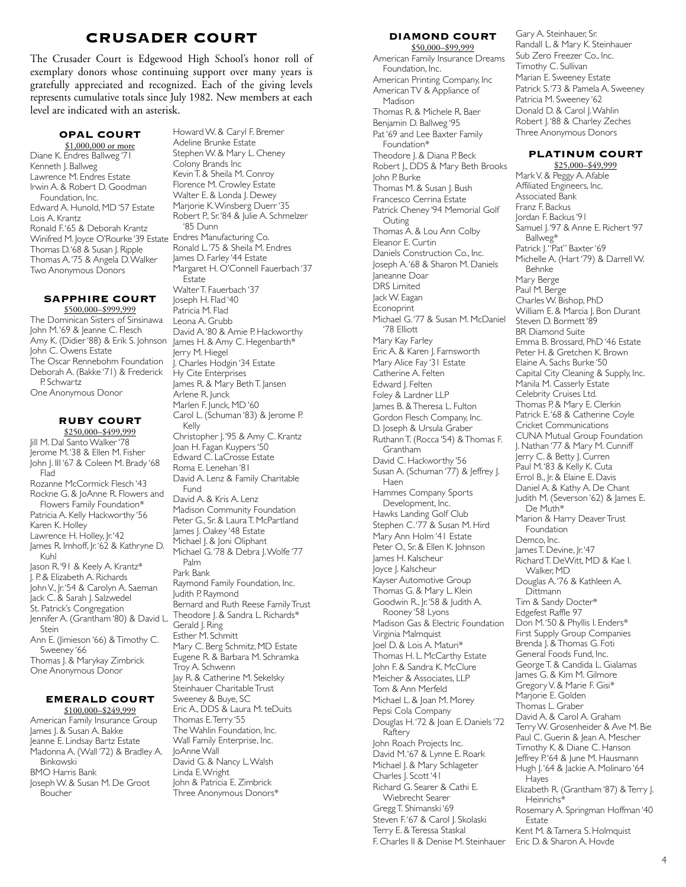# **CRUSADER COURT**

The Crusader Court is Edgewood High School's honor roll of exemplary donors whose continuing support over many years is gratefully appreciated and recognized. Each of the giving levels represents cumulative totals since July 1982. New members at each level are indicated with an asterisk.

# **OPAL COURT**

\$1,000,000 or more Diane K. Endres Ballweg '71 Kenneth J. Ballweg Lawrence M. Endres Estate Irwin A. & Robert D. Goodman Foundation, Inc. Edward A. Hunold, MD '57 Estate Lois A. Krantz Ronald F. '65 & Deborah Krantz Winifred M. Joyce O'Rourke '39 Estate Endres Manufacturing Co. Thomas D.'68<sup>'</sup>& Susan J. Ripple Thomas A. '75 & Angela D. Walker Two Anonymous Donors

#### **SAPPHIRE COURT** \$500,000–\$999,999

The Dominican Sisters of Sinsinawa John M. '69 & Jeanne C. Flesch Amy K. (Didier '88) & Erik S. Johnson John C. Owens Estate The Oscar Rennebohm Foundation Deborah A. (Bakke '71) & Frederick P. Schwartz One Anonymous Donor

#### **RUBY COURT**  \$250,000–\$499,999

Jill M. Dal Santo Walker '78 Jerome M. '38 & Ellen M. Fisher John J. III '67 & Coleen M. Brady '68 Flad Rozanne McCormick Flesch '43 Rockne G. & JoAnne R. Flowers and Flowers Family Foundation\* Patricia A. Kelly Hackworthy '56 Karen K. Holley Lawrence H. Holley, Jr. '42 James R. Imhoff, Jr. '62 & Kathryne D. Kuhl Jason R.'91 & Keely A. Krantz\* J. P. & Elizabeth A. Richards John V., Jr. '54 & Carolyn A. Saeman Jack C. & Sarah J. Salzwedel St. Patrick's Congregation Jennifer A. (Grantham '80) & David L. Stein Ann E. (Jimieson '66) & Timothy C. Sweeney '66 Thomas J. & Marykay Zimbrick One Anonymous Donor

## **EMERALD COURT** \$100,000–\$249,999

American Family Insurance Group James J. & Susan A. Bakke Jeanne E. Lindsay Bartz Estate Madonna A. (Wall '72) & Bradley A. Binkowski BMO Harris Bank Joseph W. & Susan M. De Groot **Boucher** 

Howard W. & Caryl F. Bremer Adeline Brunke Estate Stephen W. & Mary L. Cheney Colony Brands Inc Kevin T. & Sheila M. Conroy Florence M. Crowley Estate Walter E. & Londa J. Dewey Marjorie K. Winsberg Duerr '35 Robert P., Sr. '84 & Julie A. Schmelzer '85 Dunn Ronald L. '75 & Sheila M. Endres James D. Farley '44 Estate Margaret H. O'Connell Fauerbach '37 Estate Walter T. Fauerbach '37 Joseph H. Flad '40 Patricia M. Flad Leona A. Grubb David A. '80 & Amie P. Hackworthy James H. & Amy C. Hegenbarth\* Jerry M. Hiegel J. Charles Hodgin '34 Estate Hy Cite Enterprises James R. & Mary Beth T. Jansen .<br>Arlene R. Junck Marlen F. Junck, MD '60 Carol L. (Schuman '83) & Jerome P. Kelly Christopher J. '95 & Amy C. Krantz Joan H. Fagan Kuypers '50 Edward C. LaCrosse Estate Roma E. Lenehan '81 David A. Lenz & Family Charitable Fund David A. & Kris A. Lenz Madison Community Foundation Peter G., Sr. & Laura T. McPartland James J. Oakey '48 Estate Michael J. & Joni Oliphant Michael G.'78 & Debra J. Wolfe '77 Palm Park Bank Raymond Family Foundation, Inc. Judith P. Raymond Bernard and Ruth Reese Family Trust Theodore J. & Sandra L. Richards\* Gerald J. Ring Esther M. Schmitt Mary C. Berg Schmitz, MD Estate Eugene R. & Barbara M. Schramka Troy A. Schwenn Jay R. & Catherine M. Sekelsky Steinhauer Charitable Trust Sweeney & Buye, SC Eric A., DDS & Laura M. teDuits Thomas E. Terry '55 The Wahlin Foundation, Inc. Wall Family Enterprise, Inc. JoAnne Wall David G. & Nancy L. Walsh Linda E. Wright John & Patricia E. Zimbrick .<br>Three Anonymous Donors\*

## **DIAMOND COURT**  \$50,000–\$99,999

American Family Insurance Dreams Foundation, Inc. American Printing Company, Inc American TV & Appliance of Madison Thomas R. & Michele R. Baer Benjamin D. Ballweg '95 Pat '69 and Lee Baxter Family Foundation\* Theodore J. & Diana P. Beck Robert J., DDS & Mary Beth Brooks John P. Burke Thomas M. & Susan J. Bush Francesco Cerrina Estate Patrick Cheney '94 Memorial Golf Outing Thomas A. & Lou Ann Colby Eleanor E. Curtin Daniels Construction Co., Inc. Joseph A. '68 & Sharon M. Daniels Janeanne Doar DRS Limited Jack W. Eagan Econoprint Michael G. '77 & Susan M. McDaniel '78 Elliott Mary Kay Farley Eric A. & Karen J. Farnsworth Mary Alice Fay '31 Estate Catherine A. Felten Edward J. Felten Foley & Lardner LLP James B. & Theresa L. Fulton Gordon Flesch Company, Inc. D. Joseph & Ursula Graber Ruthann T. (Rocca '54) & Thomas F. Grantham David C. Hackworthy '56 Susan A. (Schuman '77) & Jeffrey J. Haen Hammes Company Sports Development, Inc. Hawks Landing Golf Club Stephen C. '77 & Susan M. Hird Mary Ann Holm '41 Estate Peter O., Sr. & Ellen K. Johnson James H. Kalscheur Joyce J. Kalscheur Kayser Automotive Group Thomas G. & Mary L. Klein Goodwin R., Jr. '58 & Judith A. Rooney '58 Lyons Madison Gas & Electric Foundation Virginia Malmquist Joel D. & Lois A. Maturi\* Thomas H. L. McCarthy Estate John F. & Sandra K. McClure Meicher & Associates, LLP Tom & Ann Merfeld Michael L. & Joan M. Morey Pepsi Cola Company Douglas H. '72 & Joan E. Daniels '72 Raftery John Roach Projects Inc. David M. '67 & Lynne E. Roark Michael J. & Mary Schlageter Charles J. Scott '41 Richard G. Searer & Cathi E. Wiebrecht Searer Gregg T. Shimanski '69 Steven F.'67 & Carol J. Skolaski Terry E. & Teressa Staskal F. Charles II & Denise M. Steinhauer

Gary A. Steinhauer, Sr. Randall L. & Mary K. Steinhauer Sub Zero Freezer Co., Inc. Timothy C. Sullivan Marian E. Sweeney Estate Patrick S. '73 & Pamela A. Sweeney Patricia M. Sweeney '62 Donald D. & Carol I. Wahlin Robert J.'88 & Charley Zeches Three Anonymous Donors

# **PLATINUM COURT**

\$25,000–\$49,999 Mark V. & Peggy A. Afable Affiliated Engineers, Inc. Associated Bank Franz F. Backus Jordan F. Backus '91 Samuel J. '97 & Anne E. Richert '97 Ballweg\* Patrick J. "Pat" Baxter '69 Michelle A. (Hart '79) & Darrell W. Behnke Mary Berge Paul M. Berge Charles W. Bishop, PhD William E. & Marcia I. Bon Durant Steven D. Bormett '89 BR Diamond Suite Emma B. Brossard, PhD '46 Estate Peter H. & Gretchen K. Brown Elaine A. Sachs Burke '50 Capital City Cleaning & Supply, Inc. Manila M. Casserly Estate Celebrity Cruises Ltd. Thomas P. & Mary E. Clerkin Patrick E. '68 & Catherine Coyle Cricket Communications CUNA Mutual Group Foundation J. Nathan '77 & Mary M. Cunniff Jerry C. & Betty J. Curren Paul M. '83 & Kelly K. Cuta Errol B., Jr. & Elaine E. Davis Daniel A. & Kathy A. De Chant Judith M. (Severson '62) & James E. De Muth\* Marion & Harry Deaver Trust Foundation Demco, Inc. James T. Devine, Jr. '47 Richard T. DeWitt, MD & Kae I. Walker, MD Douglas A. '76 & Kathleen A. **Dittmann** Tim & Sandy Docter\* Edgefest Raffle 97 Don M.'50 & Phyllis I. Enders\* First Supply Group Companies Brenda J. & Thomas G. Foti General Foods Fund, Inc. George T. & Candida L. Gialamas James G. & Kim M. Gilmore Gregory V. & Marie F. Gisi\* Marjorie E. Golden Thomas L. Graber David A. & Carol A. Graham Terry W. Grosenheider & Ave M. Bie Paul C. Guerin & Jean A. Mescher Timothy K. & Diane C. Hanson Jeffrey P.'64 & June M. Hausmann Hugh J. '64 & Jackie A. Molinaro '64 Hayes Elizabeth R. (Grantham '87) & Terry J. Heinrichs\* Rosemary A. Springman Hoffman '40 **Estate** Kent M. & Tamera S. Holmquist Eric D. & Sharon A. Hovde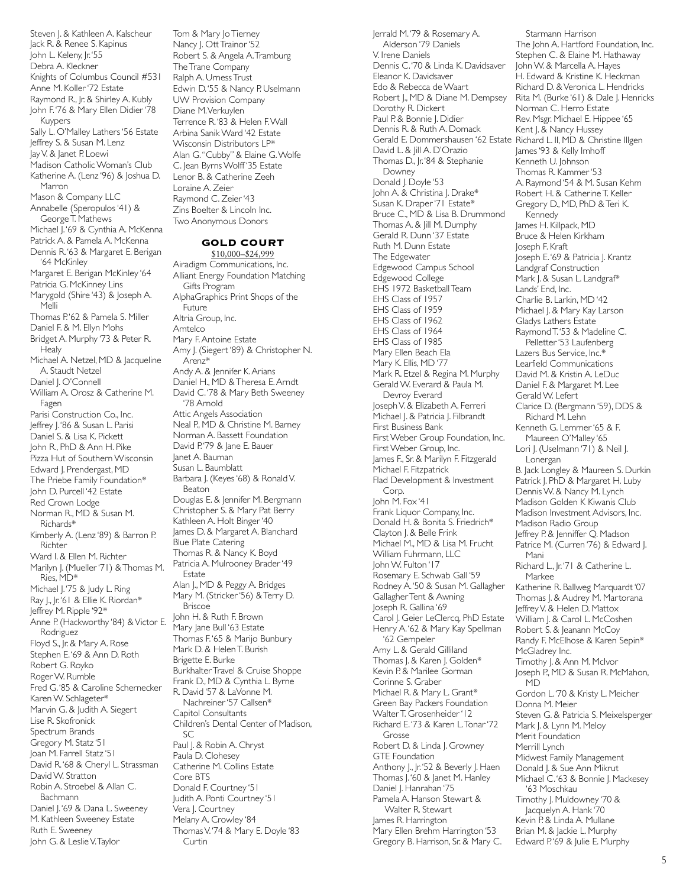Steven J. & Kathleen A. Kalscheur Jack R. & Renee S. Kapinus John L. Keleny, Jr. '55 Debra A. Kleckner Knights of Columbus Council #531 Anne M. Koller '72 Estate Raymond R., Jr. & Shirley A. Kubly John F. '76 & Mary Ellen Didier '78 Kuypers Sally L. O'Malley Lathers '56 Estate Jeffrey S. & Susan M. Lenz Jay V. & Janet P. Loewi Madison Catholic Woman's Club Katherine A. (Lenz '96) & Joshua D. Marron Mason & Company LLC Annabelle (Speropulos '41) & George T. Mathews Michael J. '69 & Cynthia A. McKenna Patrick A. & Pamela A. McKenna Dennis R. '63 & Margaret E. Berigan '64 McKinley Margaret E. Berigan McKinley '64 Patricia G. McKinney Lins Marygold (Shire '43) & Joseph A. Melli Thomas P.'62 & Pamela S. Miller Daniel F. & M. Ellyn Mohs Bridget A. Murphy '73 & Peter R. **Healy** Michael A. Netzel, MD & Jacqueline A. Staudt Netzel Daniel J. O'Connell William A. Orosz & Catherine M. Fagen Parisi Construction Co., Inc. Jeffrey J. '86 & Susan L. Parisi Daniel S. & Lisa K. Pickett John R., PhD & Ann H. Pike Pizza Hut of Southern Wisconsin Edward J. Prendergast, MD The Priebe Family Foundation\* John D. Purcell '42 Estate Red Crown Lodge Norman R., MD & Susan M. Richards\* Kimberly A. (Lenz '89) & Barron P. Richter Ward I. & Ellen M. Richter Marilyn J. (Mueller '71) & Thomas M. Ries, MD\* Michael J.'75 & Judy L. Ring Ray J., Jr. '61 & Ellie K. Riordan\* Jeffrey M. Ripple '92\* Anne P. (Hackworthy '84) & Victor E. Rodriguez Floyd S., Jr. & Mary A. Rose Stephen E. '69 & Ann D. Roth Robert G. Royko Roger W. Rumble Fred G. '85 & Caroline Schernecker Karen W. Schlageter\* Marvin G. & Judith A. Siegert Lise R. Skofronick Spectrum Brands Gregory M. Statz '51 Joan M. Farrell Statz '51 David R. '68 & Cheryl L. Strassman David W. Stratton Robin A. Stroebel & Allan C. Bachmann Daniel J.'69 & Dana L. Sweeney M. Kathleen Sweeney Estate Ruth E. Sweeney John G. & Leslie V. Taylor

Tom & Mary Jo Tierney Nancy J. Ott Trainor '52 Robert S. & Angela A. Tramburg The Trane Company Ralph A. Urness Trust Edwin D. '55 & Nancy P. Uselmann UW Provision Company Diane M. Verkuylen Terrence R. '83 & Helen F. Wall Arbina Sanik Ward '42 Estate Wisconsin Distributors LP\* Alan G. "Cubby" & Elaine G. Wolfe C. Jean Byrns Wolff '35 Estate Lenor B. & Catherine Zeeh Loraine A. Zeier Raymond C. Zeier '43 Zins Boelter & Lincoln Inc. Two Anonymous Donors

# **GOLD COURT**

\$10,000–\$24,999 Airadigm Communications, Inc. Alliant Energy Foundation Matching Gifts Program AlphaGraphics Print Shops of the Future Altria Group, Inc. Amtelco Mary F. Antoine Estate Amy J. (Siegert '89) & Christopher N. Arenz\* Andy A. & Jennifer K. Arians Daniel H., MD & Theresa E. Arndt David C. '78 & Mary Beth Sweeney '78 Arnold Attic Angels Association Neal P., MD & Christine M. Barney Norman A. Bassett Foundation David P.'79 & Jane E. Bauer Janet A. Bauman Susan L. Baumblatt Barbara J. (Keyes '68) & Ronald V. Beaton Douglas E. & Jennifer M. Bergmann Christopher S. & Mary Pat Berry Kathleen A. Holt Binger '40 James D. & Margaret A. Blanchard Blue Plate Catering Thomas R. & Nancy K. Boyd Patricia A. Mulrooney Brader '49 Estate Alan J., MD & Peggy A. Bridges Mary M. (Stricker '56) & Terry D. Briscoe John H. & Ruth F. Brown .<br>Mary Jane Bull '63 Estate Thomas F. '65 & Marijo Bunbury Mark D. & Helen T. Burish Brigette E. Burke Burkhalter Travel & Cruise Shoppe Frank D., MD & Cynthia L. Byrne R. David '57 & LaVonne M. Nachreiner '57 Callsen\* Capitol Consultants Children's Dental Center of Madison,  $SC$ Paul J. & Robin A. Chryst Paula D. Clohesey Catherine M. Collins Estate Core BTS Donald F. Courtney '51 Judith A. Ponti Courtney '51 Vera J. Courtney Melany A. Crowley '84 Thomas V. '74 & Mary E. Doyle '83 Curtin

Jerrald M. '79 & Rosemary A. Alderson '79 Daniels V. Irene Daniels Dennis C. '70 & Linda K. Davidsaver Eleanor K. Davidsaver Edo & Rebecca de Waart Robert J., MD & Diane M. Dempsey Dorothy R. Dickert Paul P. & Bonnie J. Didier Dennis R. & Ruth A. Domack Gerald E. Dommershausen '62 Estate Richard L. II, MD & Christine Illgen David L. & Jill A. D'Orazio Thomas D., Jr. '84 & Stephanie Downey Donald J. Doyle '53 John A. & Christina J. Drake\* Susan K. Draper '71 Estate\* Bruce C., MD & Lisa B. Drummond Thomas A. & Jill M. Dumphy Gerald R. Dunn '37 Estate Ruth M. Dunn Estate The Edgewater Edgewood Campus School Edgewood College EHS 1972 Basketball Team EHS Class of 1957 EHS Class of 1959 EHS Class of 1962 EHS Class of 1964 EHS Class of 1985 Mary Ellen Beach Ela Mary K. Ellis, MD '77 Mark R. Etzel & Regina M. Murphy Gerald W. Everard & Paula M. Devroy Everard Joseph V. & Elizabeth A. Ferreri Michael J. & Patricia J. Filbrandt First Business Bank First Weber Group Foundation, Inc. First Weber Group, Inc. James F., Sr. & Marilyn F. Fitzgerald Michael F. Fitzpatrick Flad Development & Investment Corp. John M. Fox '41 Frank Liquor Company, Inc. Donald H. & Bonita S. Friedrich\* Clayton J. & Belle Frink Michael M., MD & Lisa M. Frucht William Fuhrmann, LLC John W. Fulton '17 Rosemary E. Schwab Gall '59 Rodney A. '50 & Susan M. Gallagher Gallagher Tent & Awning Joseph R. Gallina '69 Carol J. Geier LeClercq, PhD Estate Henry A. '62 & Mary Kay Spellman '62 Gempeler Amy L. & Gerald Gilliland Thomas J. & Karen J. Golden\* Kevin P. & Marilee Gorman Corinne S. Graber Michael R. & Mary L. Grant\* Green Bay Packers Foundation Walter T. Grosenheider '12 Richard E. '73 & Karen L. Tonar '72 Grosse Robert D. & Linda J. Growney GTE Foundation Anthony J., Jr. '52 & Beverly J. Haen Thomas J. '60 & Janet M. Hanley Daniel J. Hanrahan '75 Pamela A. Hanson Stewart & Walter R. Stewart James R. Harrington Mary Ellen Brehm Harrington '53 Gregory B. Harrison, Sr. & Mary C.

Starmann Harrison The John A. Hartford Foundation, Inc. Stephen C. & Elaine M. Hathaway John W. & Marcella A. Hayes H. Edward & Kristine K. Heckman Richard D. & Veronica L. Hendricks Rita M. (Burke '61) & Dale J. Henricks Norman C. Herro Estate Rev. Msgr. Michael E. Hippee '65 Kent J. & Nancy Hussey James '93 & Kelly Imhoff Kenneth U. Johnson Thomas R. Kammer '53 A. Raymond '54 & M. Susan Kehm Robert H. & Catherine T. Keller Gregory D., MD, PhD & Teri K. Kennedy James H. Killpack, MD Bruce & Helen Kirkham Joseph F. Kraft Joseph E. '69 & Patricia J. Krantz Landgraf Construction Mark J. & Susan L. Landgraf\* Lands' End, Inc. Charlie B. Larkin, MD '42 Michael J. & Mary Kay Larson Gladys Lathers Estate Raymond T. '53 & Madeline C. Pelletter '53 Laufenberg Lazers Bus Service, Inc.\* Learfield Communications David M. & Kristin A. LeDuc Daniel F. & Margaret M. Lee Gerald W. Lefert Clarice D. (Bergmann '59), DDS & Richard M. Lehn Kenneth G. Lemmer '65 & F. Maureen O'Malley '65 Lori J. (Uselmann '71) & Neil J. Lonergan B. Jack Longley & Maureen S. Durkin Patrick J. PhD & Margaret H. Luby Dennis W. & Nancy M. Lynch Madison Golden K Kiwanis Club Madison Investment Advisors, Inc. Madison Radio Group Jeffrey P. & Jenniffer Q. Madson Patrice M. (Curren '76) & Edward J. Mani Richard L., Jr. '71 & Catherine L. Markee Katherine R. Ballweg Marquardt '07 Thomas J. & Audrey M. Martorana Jeffrey V. & Helen D. Mattox William J. & Carol L. McCoshen Robert S. & Jeanann McCoy Randy F. McElhose & Karen Sepin\* McGladrey Inc. Timothy J. & Ann M. McIvor Joseph P., MD & Susan R. McMahon, M<sub>D</sub> Gordon L. '70 & Kristy L. Meicher Donna M. Meier Steven G. & Patricia S. Meixelsperger Mark J. & Lynn M. Meloy Merit Foundation Merrill Lynch Midwest Family Management Donald J. & Sue Ann Mikrut Michael C. '63 & Bonnie J. Mackesey '63 Moschkau Timothy J. Muldowney '70 & Jacquelyn A. Hank '70 Kevin P. & Linda A. Mullane Brian M. & Jackie L. Murphy Edward P.'69 & Julie E. Murphy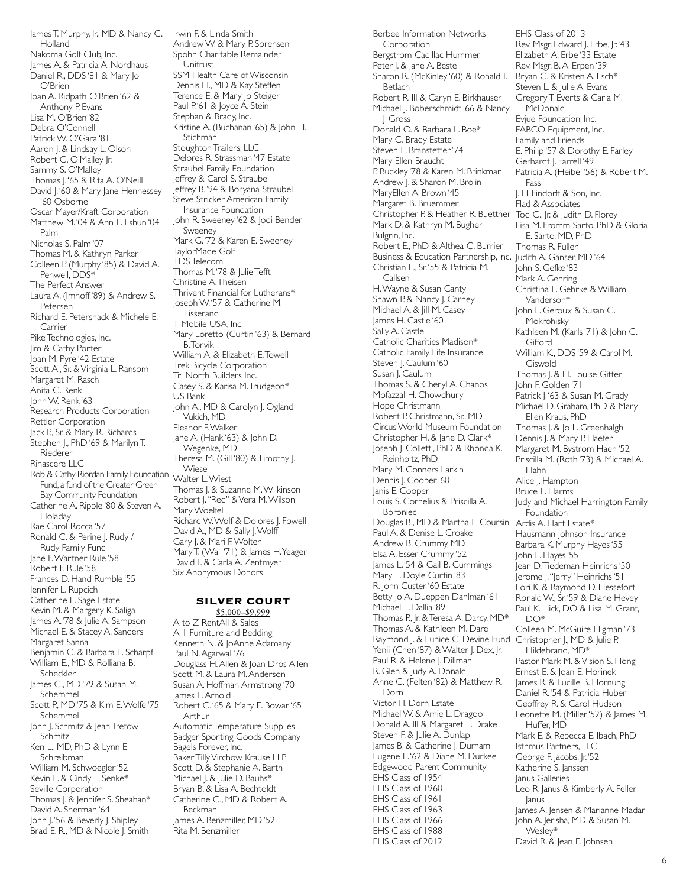James T. Murphy, Jr., MD & Nancy C. Irwin F. & Linda Smith Holland Nakoma Golf Club, Inc. James A. & Patricia A. Nordhaus Daniel R., DDS '81 & Mary Jo O'Brien Joan A. Ridpath O'Brien '62 & Anthony P. Evans Lisa M. O'Brien '82 Debra O'Connell Patrick W. O'Gara '81 Aaron J. & Lindsay L. Olson Robert C. O'Malley Jr. Sammy S. O'Malley Thomas J. '65 & Rita A. O'Neill David J. '60 & Mary Jane Hennessey '60 Osborne Oscar Mayer/Kraft Corporation Matthew M. '04 & Ann E. Eshun '04 Palm Nicholas S. Palm '07 Thomas M. & Kathryn Parker Colleen P. (Murphy '85) & David A. Penwell, DDS\* The Perfect Answer Laura A. (Imhoff '89) & Andrew S. Petersen Richard E. Petershack & Michele E. Carrier Pike Technologies, Inc. Jim & Cathy Porter Joan M. Pyre '42 Estate Scott A., Sr. & Virginia L. Ransom Margaret M. Rasch Anita C. Renk John W. Renk '63 Research Products Corporation Rettler Corporation Jack P., Sr. & Mary R. Richards Stephen J., PhD '69 & Marilyn T. Riederer Rinascere LLC Rob & Cathy Riordan Family Foundation Fund, a fund of the Greater Green Bay Community Foundation Catherine A. Ripple '80 & Steven A. Holaday Rae Carol Rocca '57 Ronald C. & Perine J. Rudy / Rudy Family Fund Jane F. Wartner Rule '58 Robert F. Rule '58 Frances D. Hand Rumble '55 Jennifer L. Rupcich Catherine L. Sage Estate Kevin M. & Margery K. Saliga James A. '78 & Julie A. Sampson Michael E. & Stacey A. Sanders Margaret Sanna Benjamin C. & Barbara E. Scharpf William E., MD & Rolliana B. Scheckler James C., MD '79 & Susan M. Schemmel Scott P., MD '75 & Kim E. Wolfe '75 Schemmel John J. Schmitz & Jean Tretow Schmitz Ken L., MD, PhD & Lynn E. Schreibman William M. Schwoegler '52 Kevin L. & Cindy L. Senke\* Seville Corporation Thomas J. & Jennifer S. Sheahan\* David A. Sherman '64 Andrew W. & Mary P. Sorensen A to Z RentAll & Sales A 1 Furniture and Bedding Kenneth N. & JoAnne Adamany Paul N. Agarwal '76 Douglass H. Allen & Joan Dros Allen Scott M. & Laura M. Anderson Susan A. Hoffman Armstrong '70 James L. Arnold Robert C. '65 & Mary E. Bowar '65 Automatic Temperature Supplies Badger Sporting Goods Company Bagels Forever, Inc. Baker Tilly Virchow Krause LLP

John J. '56 & Beverly J. Shipley Brad E. R., MD & Nicole J. Smith Scott D. & Stephanie A. Barth Michael J. & Julie D. Bauhs\* Bryan B. & Lisa A. Bechtoldt Catherine C., MD & Robert A. Beckman James A. Benzmiller, MD '52 Rita M. Benzmiller

Arthur

Spohn Charitable Remainder Unitrust SSM Health Care of Wisconsin Dennis H., MD & Kay Steffen Terence E. & Mary Jo Steiger Paul P.'61 & Joyce A. Stein Stephan & Brady, Inc. Kristine A. (Buchanan '65) & John H. **Stichman** Stoughton Trailers, LLC Delores R. Strassman '47 Estate Straubel Family Foundation Jeffrey & Carol S. Straubel Jeffrey B. '94 & Boryana Straubel Steve Stricker American Family Insurance Foundation John R. Sweeney '62 & Jodi Bender Sweeney Mark G.'72 & Karen E. Sweeney TaylorMade Golf TDS Telecom Thomas M. '78 & Julie Tefft Christine A. Theisen Thrivent Financial for Lutherans\* Joseph W. '57 & Catherine M. **Tisserand** T Mobile USA, Inc. Mary Loretto (Curtin '63) & Bernard B. Torvik William A. & Elizabeth E. Towell Trek Bicycle Corporation Tri North Builders Inc. Casey S. & Karisa M. Trudgeon\* US Bank John A., MD & Carolyn J. Ogland Vukich, MD Eleanor F. Walker Jane A. (Hank '63) & John D. Wegenke, MD Theresa M. (Gill '80) & Timothy J. Wiese Walter L. Wiest Thomas |. & Suzanne M. Wilkinson Robert J. "Red" & Vera M. Wilson Mary Woelfel Richard W. Wolf & Dolores J. Fowell David A., MD & Sally J. Wolff Gary I. & Mari F. Wolter Mary T. (Wall '71) & James H. Yeager David T. & Carla A. Zentmyer Six Anonymous Donors

#### **SILVER COURT**  \$5,000–\$9,999

Berbee Information Networks Corporation Bergstrom Cadillac Hummer Peter J. & Jane A. Beste Sharon R. (McKinley '60) & Ronald T. Betlach Robert R. III & Caryn E. Birkhauser Michael J. Boberschmidt '66 & Nancy J. Gross Donald O. & Barbara L. Boe\* Mary C. Brady Estate Steven E. Branstetter '74 Mary Ellen Braucht P. Buckley '78 & Karen M. Brinkman Andrew J. & Sharon M. Brolin MaryEllen A. Brown '45 Margaret B. Bruemmer Christopher P. & Heather R. Buettner Tod C., Jr. & Judith D. Florey Mark D. & Kathryn M. Bugher Bulgrin, Inc. Robert E., PhD & Althea C. Burrier Business & Education Partnership, Inc. Judith A. Ganser, MD '64 Christian E., Sr. '55 & Patricia M. Callsen H. Wayne & Susan Canty Shawn P. & Nancy J. Carney Michael A. & Jill M. Casey James H. Castle '60 Sally A. Castle Catholic Charities Madison\* Catholic Family Life Insurance Steven J. Caulum '60 Susan J. Caulum Thomas S. & Cheryl A. Chanos Mofazzal H. Chowdhury Hope Christmann Robert P. Christmann, Sr., MD Circus World Museum Foundation Christopher H. & Jane D. Clark\* Joseph J. Colletti, PhD & Rhonda K. Reinholtz, PhD Mary M. Conners Larkin Dennis J. Cooper '60 Janis E. Cooper Louis S. Cornelius & Priscilla A. Boroniec Douglas B., MD & Martha L. Coursin Paul A. & Denise L. Croake Andrew B. Crummy, MD Elsa A. Esser Crummy '52 James L. '54 & Gail B. Cummings Mary E. Doyle Curtin '83 R. John Custer '60 Estate Betty Jo A. Dueppen Dahlman '61 Michael L. Dallia '89 Thomas P., Jr. & Teresa A. Darcy, MD\* Thomas A. & Kathleen M. Dare Raymond J. & Eunice C. Devine Fund Christopher J., MD & Julie P. Yenii (Chen '87) & Walter J. Dex, Jr. Paul R. & Helene J. Dillman R. Glen & Judy A. Donald Anne C. (Felten '82) & Matthew R. Dorn Victor H. Dorn Estate Michael W. & Amie L. Dragoo Donald A. III & Margaret E. Drake Steven F. & Julie A. Dunlap James B. & Catherine J. Durham Eugene E. '62 & Diane M. Durkee Edgewood Parent Community EHS Class of 1954 EHS Class of 1960 EHS Class of 1961 EHS Class of 1963 EHS Class of 1966 EHS Class of 1988 EHS Class of 2012

EHS Class of 2013 Rev. Msgr. Edward J. Erbe, Jr. '43 Elizabeth A. Erbe '33 Estate Rev. Msgr. B. A. Erpen '39 Bryan C. & Kristen A. Esch\* Steven L. & Julie A. Evans Gregory T. Everts & Carla M. **McDonald** Evjue Foundation, Inc. FABCO Equipment, Inc. Family and Friends E. Philip '57 & Dorothy E. Farley Gerhardt J. Farrell '49 Patricia A. (Heibel '56) & Robert M. Fass J. H. Findorff & Son, Inc. Flad & Associates Lisa M. Fromm Sarto, PhD & Gloria E. Sarto, MD, PhD Thomas R. Fuller John S. Gefke '83 Mark A. Gehring Christina L. Gehrke & William Vanderson\* John L. Geroux & Susan C. Mokrohisky Kathleen M. (Karls '71) & John C. Gifford William K., DDS '59 & Carol M. Giswold Thomas J. & H. Louise Gitter John F. Golden '71 Patrick J.'63 & Susan M. Grady Michael D. Graham, PhD & Mary Ellen Kraus, PhD Thomas J. & Jo L. Greenhalgh Dennis J. & Mary P. Haefer Margaret M. Bystrom Haen '52 Priscilla M. (Roth '73) & Michael A. Hahn Alice J. Hampton Bruce L. Harms Judy and Michael Harrington Family Foundation Ardis A. Hart Estate\* Hausmann Johnson Insurance Barbara K. Murphy Hayes '55 John E. Hayes '55 Jean D. Tiedeman Heinrichs '50 Jerome J. "Jerry" Heinrichs '51 Lori K. & Raymond D. Hessefort Ronald W., Sr. '59 & Diane Hevey Paul K. Hick, DO & Lisa M. Grant, DO\* Colleen M. McGuire Higman '73 Hildebrand, MD\* Pastor Mark M. & Vision S. Hong Ernest E. & Joan E. Horinek James R. & Lucille B. Hornung Daniel R. '54 & Patricia Huber Geoffrey R. & Carol Hudson Leonette M. (Miller '52) & James M. Huffer, MD Mark E. & Rebecca E. Ibach, PhD Isthmus Partners, LLC George F. Jacobs, Jr. '52 Katherine S. Janssen Janus Galleries Leo R. Janus & Kimberly A. Feller Janus James A. Jensen & Marianne Madar John A. Jerisha, MD & Susan M. Wesley\* David R. & Jean E. Johnsen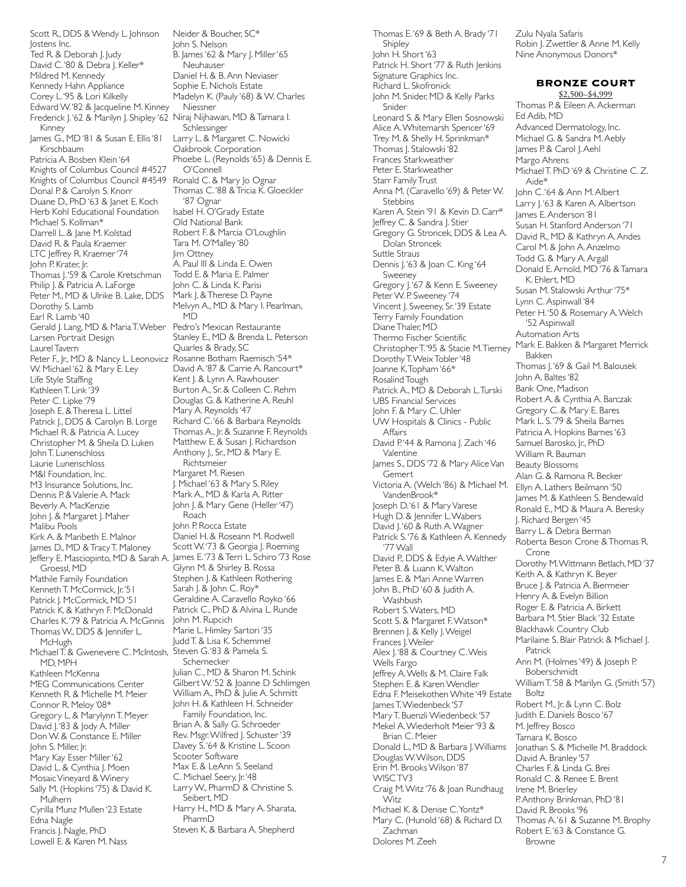Scott R., DDS & Wendy L. Johnson Jostens Inc. .<br>Ted R. & Deborah J. Judy David C. '80 & Debra J. Keller\* Mildred M. Kennedy Kennedy Hahn Appliance Corey L. '95 & Lori Kilkelly Edward W. '82 & Jacqueline M. Kinney Frederick J. '62 & Marilyn J. Shipley '62 Niraj Nijhawan, MD & Tamara I. Kinney James G., MD '81 & Susan E. Ellis '81 Kirschbaum Patricia A. Bosben Klein '64 Knights of Columbus Council #4527 Knights of Columbus Council #4549 Donal P. & Carolyn S. Knorr Duane D., PhD '63 & Janet E. Koch Herb Kohl Educational Foundation Michael S. Kollman\* Darrell L. & Jane M. Kolstad David R. & Paula Kraemer LTC Jeffrey R. Kraemer '74 John P. Krater, Jr. Thomas J.'59 & Carole Kretschman Philip J. & Patricia A. LaForge Peter M., MD & Ulrike B. Lake, DDS Dorothy S. Lamb Earl R. Lamb '40 Gerald J. Lang, MD & Maria T. Weber Larsen Portrait Design Laurel Tavern Peter F., Jr., MD & Nancy L. Leonovicz Rosanne Botham Raemisch '54\* W. Michael '62 & Mary E. Ley Life Style Staffing Kathleen T. Link '39 Peter C. Lipke '79 Joseph E. & Theresa L. Littel Patrick J., DDS & Carolyn B. Lorge Michael R. & Patricia A. Lucey Christopher M. & Sheila D. Luken John T. Lunenschloss Laurie Lunenschloss M&I Foundation, Inc. M3 Insurance Solutions, Inc. Dennis P. & Valerie A. Mack Beverly A. MacKenzie John J. & Margaret J. Maher Malibu Pools Kirk A. & Maribeth E. Malnor James D., MD & Tracy T. Maloney Jeffery E. Masciopinto, MD & Sarah A. James E. '73 & Terri L. Schiro '73 Rose Groessl, MD Mathile Family Foundation Kenneth T. McCormick, Jr. '51 Patrick J. McCormick, MD '51 Patrick K. & Kathryn F. McDonald Charles K. '79 & Patricia A. McGinnis Thomas W., DDS & Jennifer L. McHugh Michael T. & Gwenevere C. McIntosh, MD, MPH Kathleen McKenna MEG Communications Center Kenneth R. & Michelle M. Meier Connor R. Meloy '08\* Gregory L. & Marylynn T. Meyer David J.'83 & Jody A. Miller Don W. & Constance E. Miller John S. Miller, Jr. Mary Kay Esser Miller '62 David L. & Cynthia J. Moen Mosaic Vineyard & Winery Sally M. (Hopkins '75) & David K. Mulhern Cyrilla Munz Mullen '23 Estate Edna Nagle Francis J. Nagle, PhD Lowell E. & Karen M. Nass

Neider & Boucher, SC\* John S. Nelson B. James '62 & Mary J. Miller '65 **Neuhauser** Daniel H. & B. Ann Neviaser Sophie E. Nichols Estate Madelyn K. (Pauly '68) & W. Charles Niessner Schlessinger Larry L. & Margaret C. Nowicki Oakbrook Corporation Phoebe L. (Reynolds '65) & Dennis E. O'Connell Ronald C. & Mary Jo Ognar Thomas C. '88 & Tricia K. Gloeckler '87 Ognar Isabel H. O'Grady Estate Old National Bank Robert F. & Marcia O'Loughlin Tara M. O'Malley '80 Jim Ottney A. Paul III & Linda E. Owen Todd E. & Maria E. Palmer John C. & Linda K. Parisi Mark J. & Therese D. Payne Melvyn A., MD & Mary I. Pearlman, MD Pedro's Mexican Restaurante Stanley E., MD & Brenda L. Peterson Quarles & Brady, SC David A.'87 & Carrie A. Rancourt\* Kent J. & Lynn A. Rawhouser Burton A., Sr. & Colleen C. Rehm Douglas G. & Katherine A. Reuhl Mary A. Reynolds '47 Richard C. '66 & Barbara Reynolds Thomas A., Jr. & Suzanne F. Reynolds Matthew E. & Susan J. Richardson Anthony I., Sr., MD & Mary E. Richtsmeier Margaret M. Riesen J. Michael '63 & Mary S. Riley Mark A., MD & Karla A. Ritter John J. & Mary Gene (Heller '47) Roach John P. Rocca Estate Daniel H. & Roseann M. Rodwell Scott W. '73 & Georgia J. Roeming Glynn M. & Shirley B. Rossa Stephen J. & Kathleen Rothering Sarah J. & John C. Roy\* Geraldine A. Caravello Royko '66 Patrick C., PhD & Alvina L. Runde John M. Rupcich Marie L. Himley Sartori '35 Judd T. & Lisa K. Schemmel Steven G. '83 & Pamela S. Schernecker Julian C., MD & Sharon M. Schink Gilbert W. '52 & Joanne D Schlimgen William A., PhD & Julie A. Schmitt John H. & Kathleen H. Schneider Family Foundation, Inc. Brian A. & Sally G. Schroeder Rev. Msgr. Wilfred J. Schuster '39 Davey S. '64 & Kristine L. Scoon Scooter Software Max E. & LeAnn S. Seeland C. Michael Seery, Jr. '48 Larry W., PharmD & Christine S. Seibert, MD Harry H., MD & Mary A. Sharata, PharmD Steven K. & Barbara A. Shepherd

Thomas E. '69 & Beth A. Brady '71 Shipley John H. Short '63 Patrick H. Short '77 & Ruth Jenkins Signature Graphics Inc. Richard L. Skofronick John M. Snider, MD & Kelly Parks Snider Leonard S. & Mary Ellen Sosnowski Alice A. Whitemarsh Spencer '69 Trey M. & Shelly H. Sprinkman\* Thomas J. Stalowski '82 Frances Starkweather Peter E. Starkweather Starr Family Trust Anna M. (Caravello '69) & Peter W. **Stebbins** Karen A. Stein '91 & Kevin D. Carr\* Jeffrey C. & Sandra J. Stier Gregory G. Stroncek, DDS & Lea A. Dolan Stroncek Suttle Straus Dennis J. '63 & Joan C. King '64 Sweeney Gregory J. '67 & Kenn E. Sweeney Peter W. P. Sweeney '74 Vincent J. Sweeney, Sr. '39 Estate Terry Family Foundation Diane Thaler, MD Thermo Fischer Scientific Christopher T. '95 & Stacie M. Tierney Dorothy T. Weix Tobler '48 Joanne K. Topham '66\* Rosalind Tough Patrick A., MD & Deborah L. Turski UBS Financial Services John F. & Mary C. Uhler UW Hospitals & Clinics - Public Affairs David P.'44 & Ramona J. Zach '46 Valentine James S., DDS '72 & Mary Alice Van Gemert Victoria A. (Welch '86) & Michael M. VandenBrook\* Joseph D. '61 & Mary Varese Hugh D. & Jennifer L. Wabers David I.'60 & Ruth A. Wagner Patrick S.'76 & Kathleen A. Kennedy '77 Wall David P., DDS & Edyie A. Walther Peter B. & Luann K. Walton James E. & Mari Anne Warren John B., PhD '60 & Judith A. Washbush Robert S. Waters, MD Scott S. & Margaret F. Watson\* Brennen J. & Kelly J. Weigel Frances J. Weiler Alex J. '88 & Courtney C. Weis Wells Fargo Jeffrey A. Wells & M. Claire Falk Stephen E. & Karen Wendler Edna F. Meisekothen White '49 Estate James T. Wiedenbeck '57 Mary T. Buenzli Wiedenbeck '57 Mekel A. Wiederholt Meier '93 & Brian C. Meier Donald L., MD & Barbara J. Williams Douglas W. Wilson, DDS Erin M. Brooks Wilson '87 WISC TV3 Craig M. Witz '76 & Joan Rundhaug Witz Michael K. & Denise C. Yontz\* Mary C. (Hunold '68) & Richard D. Zachman Dolores M. Zeeh

Zulu Nyala Safaris Robin J. Zwettler & Anne M. Kelly Nine Anonymous Donors\*

# **BRONZE COURT**

\$2,500–\$4,999 Thomas P. & Eileen A. Ackerman Ed Adib, MD Advanced Dermatology, Inc. Michael G. & Sandra M. Aebly lames P. & Carol J. Aehl .<br>Margo Ahrens Michael T. PhD '69 & Christine C. Z. Aide\* John C. '64 & Ann M. Albert Larry J.'63 & Karen A. Albertson James E. Anderson '81 Susan H. Stanford Anderson '71 David R., MD & Kathryn A. Andes Carol M. & John A. Anzelmo Todd G. & Mary A. Argall Donald E. Arnold, MD '76 & Tamara K. Ehlert, MD Susan M. Stalowski Arthur '75\* Lynn C. Aspinwall '84 Peter H.'50 & Rosemary A. Welch '52 Aspinwall Automation Arts Mark E. Bakken & Margaret Merrick Bakken Thomas J. '69 & Gail M. Balousek John A. Baltes '82 Bank One, Madison Robert A. & Cynthia A. Barczak Gregory C. & Mary E. Bares Mark L. S. '79 & Sheila Barnes Patricia A. Hopkins Barnes '63 Samuel Barosko, Ir., PhD William R. Bauman Beauty Blossoms Alan G. & Ramona R. Becker Ellyn A. Lathers Beilmann '50 James M. & Kathleen S. Bendewald Ronald E., MD & Maura A. Beresky J. Richard Bergen '45 Barry L. & Debra Berman Roberta Beson Crone & Thomas R. Crone Dorothy M. Wittmann Betlach, MD '37 Keith A. & Kathryn K. Beyer Bruce J. & Patricia A. Biermeier Henry A. & Evelyn Billion Roger E. & Patricia A. Birkett Barbara M. Stier Black '32 Estate Blackhawk Country Club Marilaine S. Blair Patrick & Michael J. Patrick Ann M. (Holmes '49) & Joseph P. Boberschmidt William T. '58 & Marilyn G. (Smith '57) Boltz Robert M., Jr. & Lynn C. Bolz Judith E. Daniels Bosco '67 M. Jeffrey Bosco Tamara K. Bosco Jonathan S. & Michelle M. Braddock David A. Branley '57 Charles F. & Linda G. Brei Ronald C. & Renee E. Brent Irene M. Brierley P. Anthony Brinkman, PhD '81 David R. Brooks '96 Thomas A. '61 & Suzanne M. Brophy Robert E. '63 & Constance G. Browne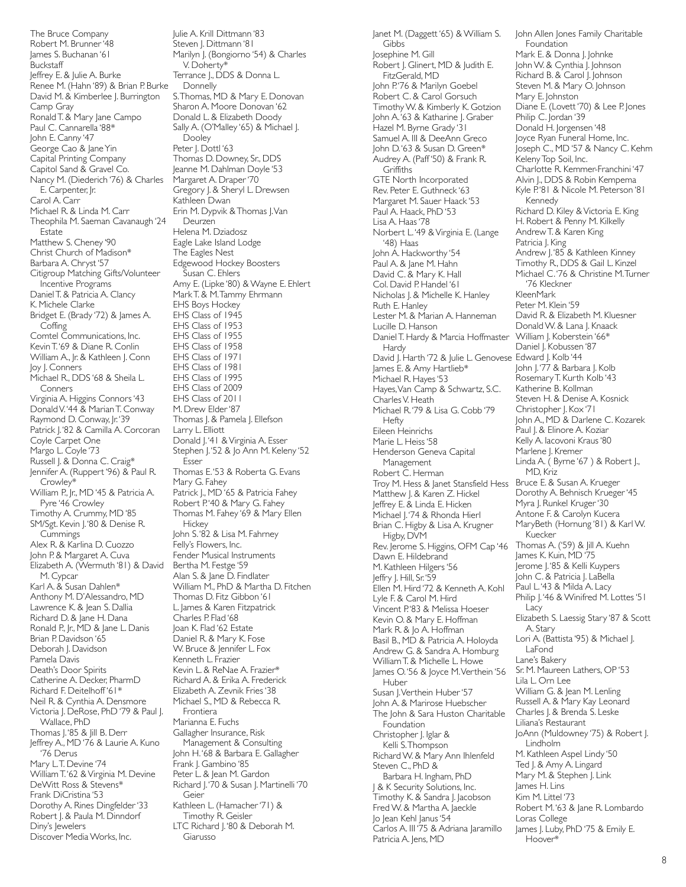The Bruce Company Robert M. Brunner '48 James S. Buchanan '61 Buckstaff Jeffrey E. & Julie A. Burke Renee M. (Hahn '89) & Brian P. Burke David M. & Kimberlee J. Burrington Camp Gray Ronald T. & Mary Jane Campo Paul C. Cannarella '88\* John E. Canny '47 George Cao & Jane Yin Capital Printing Company Capitol Sand & Gravel Co. Nancy M. (Diederich '76) & Charles E. Carpenter, Jr. Carol A. Carr Michael R. & Linda M. Carr Theophila M. Saeman Cavanaugh '24 Estate Matthew S. Cheney '90 Christ Church of Madison\* Barbara A. Chryst '57 Citigroup Matching Gifts/Volunteer Incentive Programs Daniel T. & Patricia A. Clancy K. Michele Clarke Bridget E. (Brady '72) & James A. **Coffing** Comtel Communications, Inc. Kevin T. '69 & Diane R. Conlin William A., Jr. & Kathleen J. Conn Joy J. Conners Michael R., DDS '68 & Sheila L. Conners Virginia A. Higgins Connors '43 Donald V. '44 & Marian T. Conway Raymond D. Conway, Jr. '39 Patrick J. '82 & Camilla A. Corcoran Coyle Carpet One Margo L. Coyle '73 Russell J. & Donna C. Craig\* Jennifer A. (Ruppert '96) & Paul R. Crowley\* William P., Jr., MD '45 & Patricia A. Pyre '46 Crowley Timothy A. Crummy, MD '85 SM/Sgt. Kevin J. '80 & Denise R. **Cummings** Alex R. & Karlina D. Cuozzo John P. & Margaret A. Cuva Elizabeth A. (Wermuth '81) & David M. Cypcar Karl A. & Susan Dahlen\* Anthony M. D'Alessandro, MD Lawrence K. & Jean S. Dallia Richard D. & Jane H. Dana Ronald P., Jr., MD & Jane L. Danis Brian P. Davidson '65 Deborah J. Davidson Pamela Davis Death's Door Spirits Catherine A. Decker, PharmD Richard F. Deitelhoff '61\* Neil R. & Cynthia A. Densmore Victoria J. DeRose, PhD '79 & Paul J. Wallace, PhD Thomas J. '85 & Jill B. Derr Jeffrey A., MD '76 & Laurie A. Kuno '76 Derus Mary L.T. Devine '74 William T. '62 & Virginia M. Devine DeWitt Ross & Stevens\* Frank DiCristina '53 Dorothy A. Rines Dingfelder '33 Robert J. & Paula M. Dinndorf Diny's Jewelers Discover Media Works, Inc.

Julie A. Krill Dittmann '83 Steven J. Dittmann '81 Marilyn J. (Bongiorno '54) & Charles V. Doherty\* Terrance J., DDS & Donna L. Donnelly S. Thomas, MD & Mary E. Donovan Sharon A. Moore Donovan '62 Donald L. & Elizabeth Doody Sally A. (O'Malley '65) & Michael J. Dooley Peter J. Dottl '63 Thomas D. Downey, Sr., DDS Jeanne M. Dahlman Doyle '53 Margaret A. Draper '70 Gregory J. & Sheryl L. Drewsen Kathleen Dwan Erin M. Dypvik & Thomas J. Van Deurzen Helena M. Dziadosz Eagle Lake Island Lodge The Eagles Nest Edgewood Hockey Boosters Susan C. Ehlers Amy E. (Lipke '80) & Wayne E. Ehlert Mark T. & M. Tammy Ehrmann EHS Boys Hockey EHS Class of 1945 EHS Class of 1953 EHS Class of 1955 EHS Class of 1958 EHS Class of 1971 EHS Class of 1981 EHS Class of 1995 EHS Class of 2009 EHS Class of 2011 M. Drew Elder '87 Thomas J. & Pamela J. Ellefson Larry L. Elliott Donald J.'41 & Virginia A. Esser Stephen J. '52 & Jo Ann M. Keleny '52 Esser Thomas E. '53 & Roberta G. Evans Mary G. Fahey Patrick J., MD '65 & Patricia Fahey Robert P.'40 & Mary G. Fahey Thomas M. Fahey '69 & Mary Ellen **Hickey** John S. '82 & Lisa M. Fahrney Felly's Flowers, Inc. Fender Musical Instruments Bertha M. Festge '59 Alan S. & Jane D. Findlater William M., PhD & Martha D. Fitchen Thomas D. Fitz Gibbon '61 L. James & Karen Fitzpatrick Charles P. Flad '68 Joan K. Flad '62 Estate Daniel R. & Mary K. Fose W. Bruce & Jennifer L. Fox Kenneth L. Frazier Kevin L. & ReNae A. Frazier\* Richard A. & Erika A. Frederick Elizabeth A. Zevnik Fries '38 Michael S., MD & Rebecca R. Frontiera Marianna E. Fuchs Gallagher Insurance, Risk Management & Consulting John H. '68 & Barbara E. Gallagher Frank J. Gambino '85 Peter L. & Jean M. Gardon Richard J. '70 & Susan J. Martinelli '70 Geier Kathleen L. (Hamacher '71) & Timothy R. Geisler LTC Richard J. '80 & Deborah M. Giarusso

Janet M. (Daggett '65) & William S. Gibbs Josephine M. Gill Robert J. Glinert, MD & Judith E. FitzGerald, MD John P.'76 & Marilyn Goebel Robert C. & Carol Gorsuch Timothy W. & Kimberly K. Gotzion John A. '63 & Katharine J. Graber Hazel M. Byrne Grady '31 Samuel A. III & DeeAnn Greco John D.'63 & Susan D. Green\* Audrey A. (Paff '50) & Frank R. **Griffiths** GTE North Incorporated Rev. Peter E. Guthneck '63 Margaret M. Sauer Haack '53 Paul A. Haack, PhD '53 Lisa A. Haas '78 Norbert L. '49 & Virginia E. (Lange '48) Haas John A. Hackworthy '54 Paul A. & Jane M. Hahn David C. & Mary K. Hall Col. David P. Handel '61 Nicholas J. & Michelle K. Hanley Ruth E. Hanley Lester M. & Marian A. Hanneman Lucille D. Hanson Daniel T. Hardy & Marcia Hoffmaster Hardy David J. Harth '72 & Julie L. Genovese Edward J. Kolb '44 James E. & Amy Hartlieb\* Michael R. Hayes '53 Hayes, Van Camp & Schwartz, S.C. Charles V. Heath Michael R. '79 & Lisa G. Cobb '79 Hefty Eileen Heinrichs Marie L. Heiss '58 Henderson Geneva Capital Management Robert C. Herman Troy M. Hess & Janet Stansfield Hess Matthew J. & Karen Z. Hickel Jeffrey E. & Linda E. Hicken Michael J. '74 & Rhonda Hierl Brian C. Higby & Lisa A. Krugner Higby, DVM Rev. Jerome S. Higgins, OFM Cap '46 Dawn E. Hildebrand M. Kathleen Hilgers '56 Jeffry J. Hill, Sr. '59 Ellen M. Hird '72 & Kenneth A. Kohl Lyle F. & Carol M. Hird Vincent P.'83 & Melissa Hoeser Kevin O. & Mary E. Hoffman Mark R. & Jo A. Hoffman Basil B., MD & Patricia A. Holoyda Andrew G. & Sandra A. Homburg William T. & Michelle L. Howe James O. '56 & Joyce M. Verthein '56 Huber Susan J. Verthein Huber '57 John A. & Marirose Huebscher .<br>The John & Sara Huston Charitable Foundation Christopher J. Iglar & Kelli S. Thompson Richard W. & Mary Ann Ihlenfeld Steven C., PhD & Barbara H. Ingham, PhD J & K Security Solutions, Inc. Timothy K. & Sandra J. Jacobson Fred W. & Martha A. Jaeckle Jo Jean Kehl Janus '54 Carlos A. III '75 & Adriana Jaramillo Patricia A. Jens, MD

John Allen Jones Family Charitable Foundation Mark E. & Donna J. Johnke John W. & Cynthia J. Johnson Richard B. & Carol J. Johnson Steven M. & Mary O. Johnson Mary E. Johnston Diane E. (Lovett '70) & Lee P. Jones Philip C. Jordan '39 Donald H. Jorgensen '48 Joyce Ryan Funeral Home, Inc. Joseph C., MD '57 & Nancy C. Kehm Keleny Top Soil, Inc. Charlotte R. Kemmer-Franchini '47 Alvin J., DDS & Robin Kempema Kyle P.'81 & Nicole M. Peterson '81 Kennedy Richard D. Kiley & Victoria E. King H. Robert & Penny M. Kilkelly Andrew T. & Karen King Patricia J. King Andrew J. '85 & Kathleen Kinney Timothy R., DDS & Gail L. Kinzel Michael C. '76 & Christine M. Turner '76 Kleckner KleenMark Peter M. Klein '59 David R. & Elizabeth M. Kluesner Donald W. & Lana J. Knaack William J. Koberstein '66\* Daniel J. Kobussen '87 John J. '77 & Barbara J. Kolb Rosemary T. Kurth Kolb '43 Katherine B. Kollman Steven H. & Denise A. Kosnick Christopher J. Kox '71 John A., MD & Darlene C. Kozarek Paul J. & Elinore A. Koziar Kelly A. Iacovoni Kraus '80 Marlene J. Kremer Linda A. (Byrne '67) & Robert I., MD, Kriz Bruce E. & Susan A. Krueger Dorothy A. Behnisch Krueger '45 Myra J. Runkel Kruger '30 Antone F. & Carolyn Kucera MaryBeth (Hornung '81) & Karl W. Kuecker Thomas A. ('59) & Jill A. Kuehn James K. Kuin, MD '75 Jerome J. '85 & Kelli Kuypers John C. & Patricia J. LaBella Paul L. '43 & Milda A. Lacy Philip J.'46 & Winifred M. Lottes '51 Lacy Elizabeth S. Laessig Stary '87 & Scott A. Stary Lori A. (Battista '95) & Michael J. LaFond Lane's Bakery Sr. M. Maureen Lathers, OP '53 Lila L. Orn Lee William G. & Jean M. Lenling Russell A. & Mary Kay Leonard Charles J. & Brenda S. Leske Liliana's Restaurant JoAnn (Muldowney '75) & Robert J. Lindholm M. Kathleen Aspel Lindy '50 Ted J. & Amy A. Lingard Mary M. & Stephen J. Link James H. Lins Kim M. Littel '73 Robert M. '63 & Jane R. Lombardo Loras College James J. Luby, PhD '75 & Emily E. Hoover\*